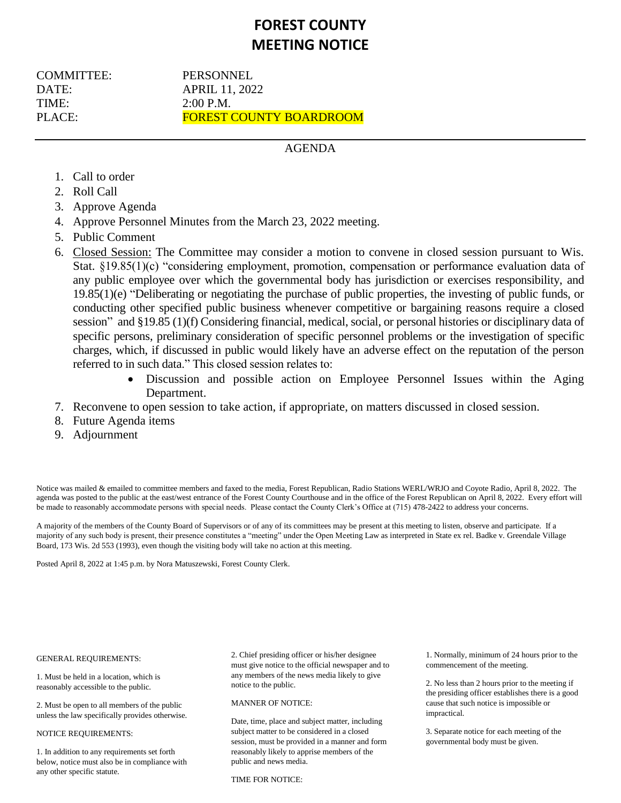# **FOREST COUNTY MEETING NOTICE**

TIME: 2:00 P.M.

COMMITTEE: PERSONNEL DATE: APRIL 11, 2022 PLACE: FOREST COUNTY BOARDROOM

# AGENDA

- 1. Call to order
- 2. Roll Call
- 3. Approve Agenda
- 4. Approve Personnel Minutes from the March 23, 2022 meeting.
- 5. Public Comment
- 6. Closed Session: The Committee may consider a motion to convene in closed session pursuant to Wis. Stat. §19.85(1)(c) "considering employment, promotion, compensation or performance evaluation data of any public employee over which the governmental body has jurisdiction or exercises responsibility, and 19.85(1)(e) "Deliberating or negotiating the purchase of public properties, the investing of public funds, or conducting other specified public business whenever competitive or bargaining reasons require a closed session" and §19.85 (1)(f) Considering financial, medical, social, or personal histories or disciplinary data of specific persons, preliminary consideration of specific personnel problems or the investigation of specific charges, which, if discussed in public would likely have an adverse effect on the reputation of the person referred to in such data." This closed session relates to:
	- Discussion and possible action on Employee Personnel Issues within the Aging Department.
- 7. Reconvene to open session to take action, if appropriate, on matters discussed in closed session.
- 8. Future Agenda items
- 9. Adjournment

Notice was mailed & emailed to committee members and faxed to the media, Forest Republican, Radio Stations WERL/WRJO and Coyote Radio, April 8, 2022. The agenda was posted to the public at the east/west entrance of the Forest County Courthouse and in the office of the Forest Republican on April 8, 2022. Every effort will be made to reasonably accommodate persons with special needs. Please contact the County Clerk's Office at (715) 478-2422 to address your concerns.

A majority of the members of the County Board of Supervisors or of any of its committees may be present at this meeting to listen, observe and participate. If a majority of any such body is present, their presence constitutes a "meeting" under the Open Meeting Law as interpreted in State ex rel. Badke v. Greendale Village Board, 173 Wis. 2d 553 (1993), even though the visiting body will take no action at this meeting.

Posted April 8, 2022 at 1:45 p.m. by Nora Matuszewski, Forest County Clerk.

# GENERAL REQUIREMENTS:

1. Must be held in a location, which is reasonably accessible to the public.

2. Must be open to all members of the public unless the law specifically provides otherwise.

#### NOTICE REQUIREMENTS:

1. In addition to any requirements set forth below, notice must also be in compliance with any other specific statute.

2. Chief presiding officer or his/her designee must give notice to the official newspaper and to any members of the news media likely to give notice to the public.

#### MANNER OF NOTICE:

Date, time, place and subject matter, including subject matter to be considered in a closed session, must be provided in a manner and form reasonably likely to apprise members of the public and news media.

TIME FOR NOTICE:

1. Normally, minimum of 24 hours prior to the commencement of the meeting.

2. No less than 2 hours prior to the meeting if the presiding officer establishes there is a good cause that such notice is impossible or impractical.

3. Separate notice for each meeting of the governmental body must be given.